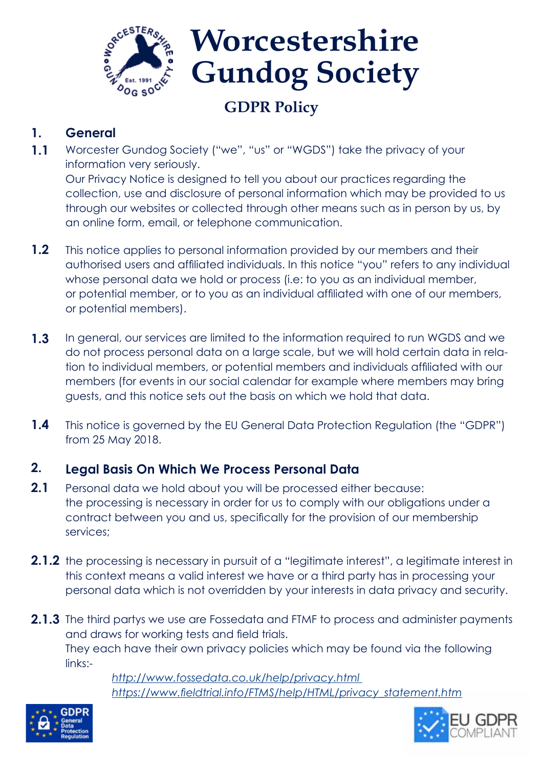

# **GDPR Policy**

## **General 1.**

Worcester Gundog Society ("we", "us" or "WGDS") take the privacy of your information very seriously. **1.1**

Our Privacy Notice is designed to tell you about our practices regarding the collection, use and disclosure of personal information which may be provided to us through our websites or collected through other means such as in person by us, by an online form, email, or telephone communication.

- This notice applies to personal information provided by our members and their authorised users and affiliated individuals. In this notice "you" refers to any individual whose personal data we hold or process (i.e: to you as an individual member, or potential member, or to you as an individual affiliated with one of our members, or potential members). **1.2**
- In general, our services are limited to the information required to run WGDS and we do not process personal data on a large scale, but we will hold certain data in relation to individual members, or potential members and individuals affiliated with our members (for events in our social calendar for example where members may bring guests, and this notice sets out the basis on which we hold that data. **1.3**
- This notice is governed by the EU General Data Protection Regulation (the "GDPR") from 25 May 2018. **1.4**

### **Legal Basis On Which We Process Personal Data 2.**

- Personal data we hold about you will be processed either because: the processing is necessary in order for us to comply with our obligations under a contract between you and us, specifically for the provision of our membership services; **2.1**
- **2.1.2** the processing is necessary in pursuit of a "legitimate interest", a legitimate interest in this context means a valid interest we have or a third party has in processing your personal data which is not overridden by your interests in data privacy and security.
- **2.1.3** The third partys we use are Fossedata and FTMF to process and administer payments and draws for working tests and field trials. They each have their own privacy policies which may be found via the following links:-

*http://www.fossedata.co.uk/help/privacy.html https://www.fieldtrial.info/FTMS/help/HTML/privacy\_statement.htm*



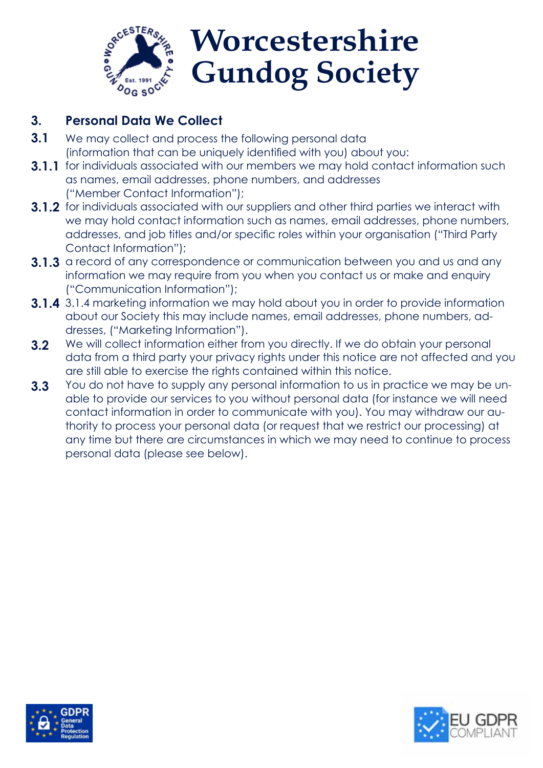

# **Personal Data We Collect 3.**

- We may collect and process the following personal data (information that can be uniquely identified with you) about you: **3.1**
- **3.1.1** for individuals associated with our members we may hold contact information such as names, email addresses, phone numbers, and addresses ("Member Contact Information");
- **3.1.2** for individuals associated with our suppliers and other third parties we interact with we may hold contact information such as names, email addresses, phone numbers, addresses, and job titles and/or specific roles within your organisation ("Third Party Contact Information");
- **3.1.3** a record of any correspondence or communication between you and us and any information we may require from you when you contact us or make and enquiry ("Communication Information");
- 3.1.4 marketing information we may hold about you in order to provide information **3.1.4**about our Society this may include names, email addresses, phone numbers, addresses, ("Marketing Information").
- We will collect information either from you directly. If we do obtain your personal data from a third party your privacy rights under this notice are not affected and you are still able to exercise the rights contained within this notice. **3.2**
- You do not have to supply any personal information to us in practice we may be unable to provide our services to you without personal data (for instance we will need contact information in order to communicate with you). You may withdraw our authority to process your personal data (or request that we restrict our processing) at any time but there are circumstances in which we may need to continue to process personal data (please see below). **3.3**



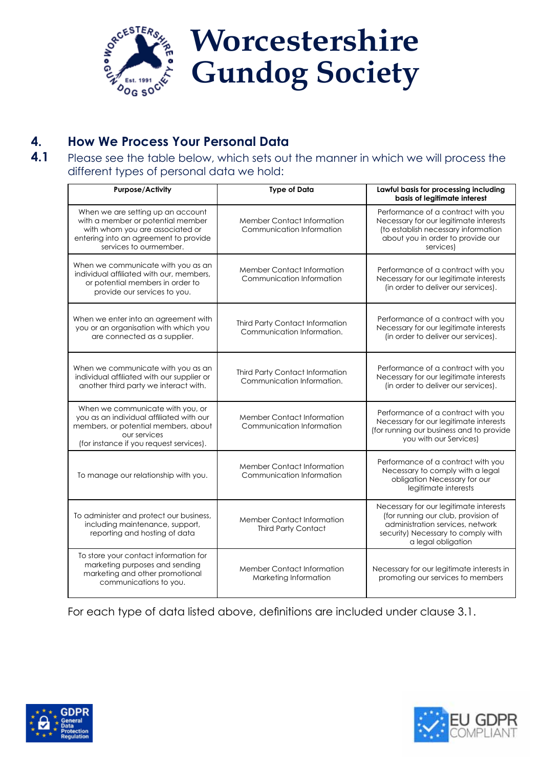

# **4. How We Process Your Personal Data**

# **4.1** Please see the table below, which sets out the manner in which we will process the different types of personal data we hold:

| <b>Purpose/Activity</b>                                                                                                                                                         | <b>Type of Data</b>                                                  | Lawful basis for processing including<br>basis of legitimate interest                                                                                                         |
|---------------------------------------------------------------------------------------------------------------------------------------------------------------------------------|----------------------------------------------------------------------|-------------------------------------------------------------------------------------------------------------------------------------------------------------------------------|
| When we are setting up an account<br>with a member or potential member<br>with whom you are associated or<br>entering into an agreement to provide<br>services to ourmember.    | Member Contact Information<br>Communication Information              | Performance of a contract with you<br>Necessary for our legitimate interests<br>(to establish necessary information<br>about you in order to provide our<br>services)         |
| When we communicate with you as an<br>individual affiliated with our, members,<br>or potential members in order to<br>provide our services to you.                              | Member Contact Information<br>Communication Information              | Performance of a contract with you<br>Necessary for our legitimate interests<br>(in order to deliver our services).                                                           |
| When we enter into an agreement with<br>you or an organisation with which you<br>are connected as a supplier.                                                                   | <b>Third Party Contact Information</b><br>Communication Information. | Performance of a contract with you<br>Necessary for our legitimate interests<br>(in order to deliver our services).                                                           |
| When we communicate with you as an<br>individual affiliated with our supplier or<br>another third party we interact with.                                                       | <b>Third Party Contact Information</b><br>Communication Information. | Performance of a contract with you<br>Necessary for our legitimate interests<br>(in order to deliver our services).                                                           |
| When we communicate with you, or<br>you as an individual affiliated with our<br>members, or potential members, about<br>our services<br>(for instance if you request services). | <b>Member Contact Information</b><br>Communication Information       | Performance of a contract with you<br>Necessary for our legitimate interests<br>(for running our business and to provide<br>you with our Services)                            |
| To manage our relationship with you.                                                                                                                                            | Member Contact Information<br>Communication Information              | Performance of a contract with you<br>Necessary to comply with a legal<br>obligation Necessary for our<br>legitimate interests                                                |
| To administer and protect our business,<br>including maintenance, support,<br>reporting and hosting of data                                                                     | Member Contact Information<br><b>Third Party Contact</b>             | Necessary for our legitimate interests<br>(for running our club, provision of<br>administration services, network<br>security) Necessary to comply with<br>a legal obligation |
| To store your contact information for<br>marketing purposes and sending<br>marketing and other promotional<br>communications to you.                                            | Member Contact Information<br>Marketing Information                  | Necessary for our legitimate interests in<br>promoting our services to members                                                                                                |

For each type of data listed above, definitions are included under clause 3.1.



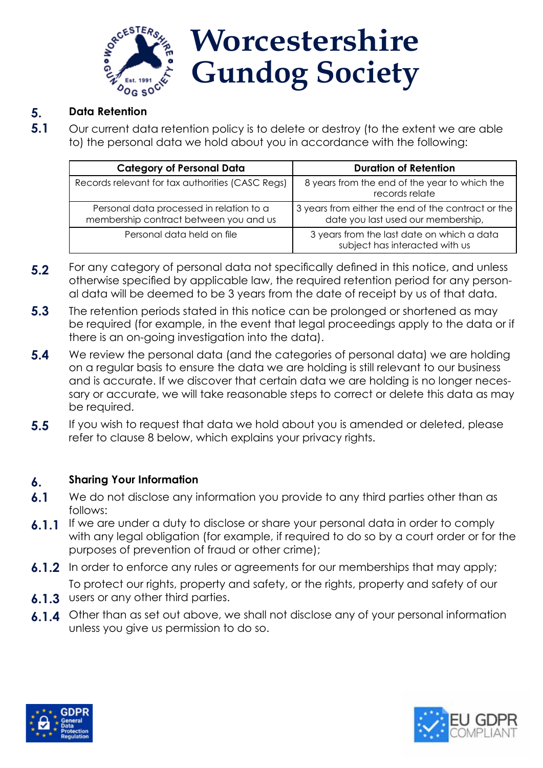

#### **Data Retention 5.**

Our current data retention policy is to delete or destroy (to the extent we are able to) the personal data we hold about you in accordance with the following: **5.1**

| <b>Category of Personal Data</b>                                                   | <b>Duration of Retention</b>                                                             |
|------------------------------------------------------------------------------------|------------------------------------------------------------------------------------------|
| Records relevant for tax authorities (CASC Regs)                                   | 8 years from the end of the year to which the<br>records relate                          |
| Personal data processed in relation to a<br>membership contract between you and us | 3 years from either the end of the contract or the<br>date you last used our membership, |
| Personal data held on file                                                         | 3 years from the last date on which a data<br>subject has interacted with us             |

- For any category of personal data not specifically defined in this notice, and unless otherwise specified by applicable law, the required retention period for any personal data will be deemed to be 3 years from the date of receipt by us of that data. **5.2**
- The retention periods stated in this notice can be prolonged or shortened as may be required (for example, in the event that legal proceedings apply to the data or if there is an on-going investigation into the data). **5.3**
- We review the personal data (and the categories of personal data) we are holding on a regular basis to ensure the data we are holding is still relevant to our business and is accurate. If we discover that certain data we are holding is no longer necessary or accurate, we will take reasonable steps to correct or delete this data as may be required. **5.4**
- If you wish to request that data we hold about you is amended or deleted, please refer to clause 8 below, which explains your privacy rights. **5.5**

#### **Sharing Your Information 6.**

- We do not disclose any information you provide to any third parties other than as follows: **6.1**
- **6.1.1** If we are under a duty to disclose or share your personal data in order to comply with any legal obligation (for example, if required to do so by a court order or for the purposes of prevention of fraud or other crime);
- **6.1.2** In order to enforce any rules or agreements for our memberships that may apply;

To protect our rights, property and safety, or the rights, property and safety of our **6.1.3** users or any other third parties.

Other than as set out above, we shall not disclose any of your personal information **6.1.4**unless you give us permission to do so.



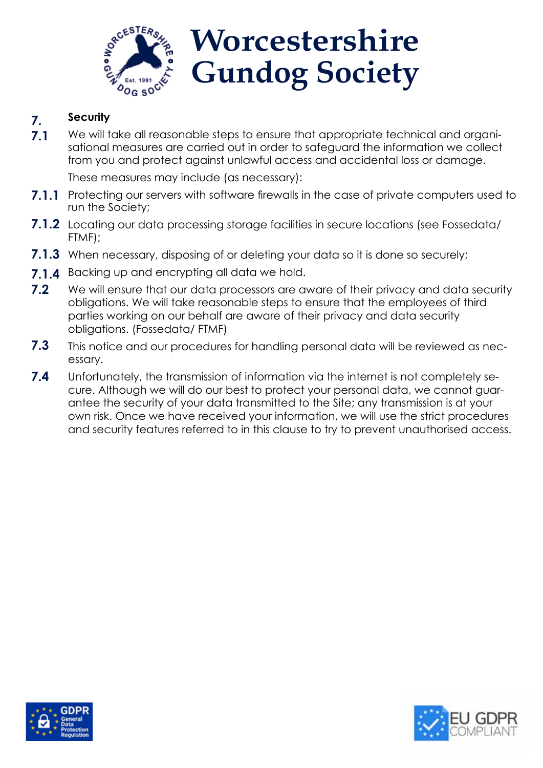

#### **Security 7.**

We will take all reasonable steps to ensure that appropriate technical and organisational measures are carried out in order to safeguard the information we collect from you and protect against unlawful access and accidental loss or damage. **7.1**

These measures may include (as necessary):

- **7.1.1** Protecting our servers with software firewalls in the case of private computers used to run the Society;
- **7.1.2** Locating our data processing storage facilities in secure locations (see Fossedata/ FTMF);
- **7.1.3** When necessary, disposing of or deleting your data so it is done so securely;
- Backing up and encrypting all data we hold. **7.1.4**
- We will ensure that our data processors are aware of their privacy and data security obligations. We will take reasonable steps to ensure that the employees of third parties working on our behalf are aware of their privacy and data security obligations. (Fossedata/ FTMF) **7.2**
- This notice and our procedures for handling personal data will be reviewed as necessary. **7.3**
- Unfortunately, the transmission of information via the internet is not completely secure. Although we will do our best to protect your personal data, we cannot guarantee the security of your data transmitted to the Site; any transmission is at your own risk. Once we have received your information, we will use the strict procedures and security features referred to in this clause to try to prevent unauthorised access. **7.4**



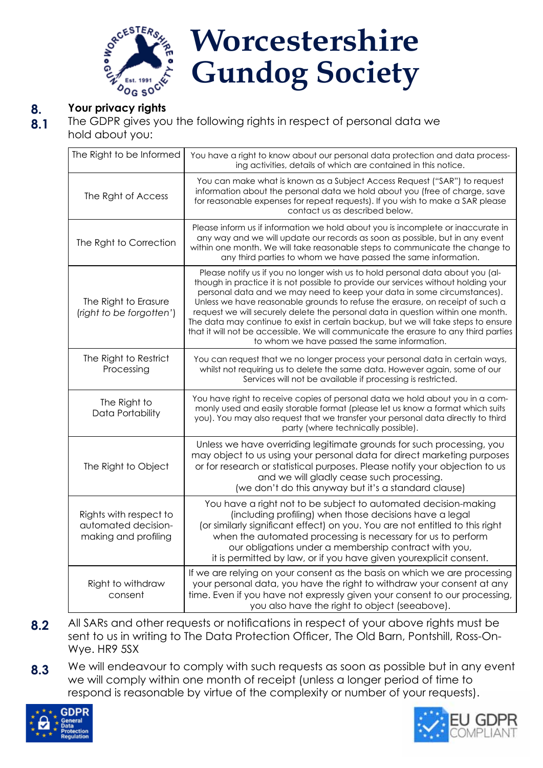

#### **8. Your privacy rights**

**8.1** The GDPR gives you the following rights in respect of personal data we hold about you:

| The Right to be Informed                                              | You have a right to know about our personal data protection and data process-<br>ing activities, details of which are contained in this notice.                                                                                                                                                                                                                                                                                                                                                                                                                                                                                                   |
|-----------------------------------------------------------------------|---------------------------------------------------------------------------------------------------------------------------------------------------------------------------------------------------------------------------------------------------------------------------------------------------------------------------------------------------------------------------------------------------------------------------------------------------------------------------------------------------------------------------------------------------------------------------------------------------------------------------------------------------|
| The Rght of Access                                                    | You can make what is known as a Subject Access Request ("SAR") to request<br>information about the personal data we hold about you (free of charge, save<br>for reasonable expenses for repeat requests). If you wish to make a SAR please<br>contact us as described below.                                                                                                                                                                                                                                                                                                                                                                      |
| The Rght to Correction                                                | Please inform us if information we hold about you is incomplete or inaccurate in<br>any way and we will update our records as soon as possible, but in any event<br>within one month. We will take reasonable steps to communicate the change to<br>any third parties to whom we have passed the same information.                                                                                                                                                                                                                                                                                                                                |
| The Right to Erasure<br>(right to be forgotten')                      | Please notify us if you no longer wish us to hold personal data about you (al-<br>though in practice it is not possible to provide our services without holding your<br>personal data and we may need to keep your data in some circumstances).<br>Unless we have reasonable grounds to refuse the erasure, on receipt of such a<br>request we will securely delete the personal data in question within one month.<br>The data may continue to exist in certain backup, but we will take steps to ensure<br>that it will not be accessible. We will communicate the erasure to any third parties<br>to whom we have passed the same information. |
| The Right to Restrict<br>Processing                                   | You can request that we no longer process your personal data in certain ways,<br>whilst not requiring us to delete the same data. However again, some of our<br>Services will not be available if processing is restricted.                                                                                                                                                                                                                                                                                                                                                                                                                       |
| The Right to<br>Data Portability                                      | You have right to receive copies of personal data we hold about you in a com-<br>monly used and easily storable format (please let us know a format which suits<br>you). You may also request that we transfer your personal data directly to third<br>party (where technically possible).                                                                                                                                                                                                                                                                                                                                                        |
| The Right to Object                                                   | Unless we have overriding legitimate grounds for such processing, you<br>may object to us using your personal data for direct marketing purposes<br>or for research or statistical purposes. Please notify your objection to us<br>and we will gladly cease such processing.<br>(we don't do this anyway but it's a standard clause)                                                                                                                                                                                                                                                                                                              |
| Rights with respect to<br>automated decision-<br>making and profiling | You have a right not to be subject to automated decision-making<br>(including profiling) when those decisions have a legal<br>(or similarly significant effect) on you. You are not entitled to this right<br>when the automated processing is necessary for us to perform<br>our obligations under a membership contract with you,<br>it is permitted by law, or if you have given yourexplicit consent.                                                                                                                                                                                                                                         |
| Right to withdraw<br>consent                                          | If we are relying on your consent as the basis on which we are processing<br>your personal data, you have the right to withdraw your consent at any<br>time. Even if you have not expressly given your consent to our processing,<br>you also have the right to object (seeabove).                                                                                                                                                                                                                                                                                                                                                                |

- All SARs and other requests or notifications in respect of your above rights must be sent to us in writing to The Data Protection Officer, The Old Barn, Pontshill, Ross-On-Wye. HR9 5SX **8.2**
- We will endeavour to comply with such requests as soon as possible but in any event we will comply within one month of receipt (unless a longer period of time to respond is reasonable by virtue of the complexity or number of your requests). **8.3**